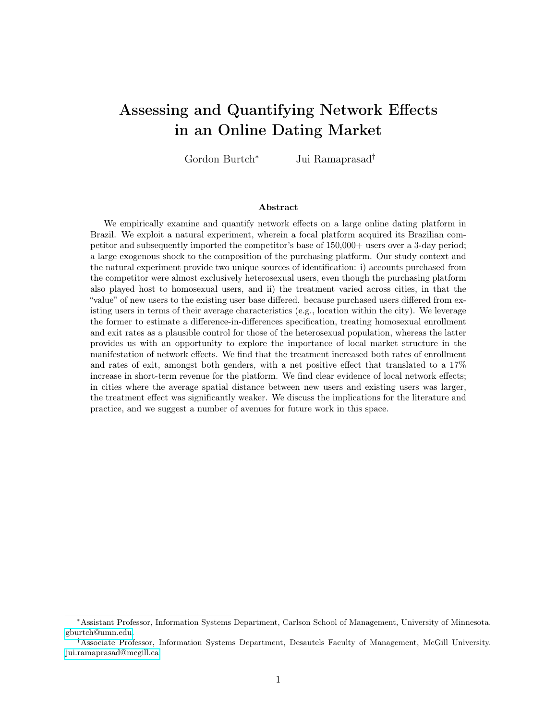# Assessing and Quantifying Network Effects in an Online Dating Market

Gordon Burtch<sup>∗</sup> Jui Ramaprasad†

#### Abstract

We empirically examine and quantify network effects on a large online dating platform in Brazil. We exploit a natural experiment, wherein a focal platform acquired its Brazilian competitor and subsequently imported the competitor's base of 150,000+ users over a 3-day period; a large exogenous shock to the composition of the purchasing platform. Our study context and the natural experiment provide two unique sources of identification: i) accounts purchased from the competitor were almost exclusively heterosexual users, even though the purchasing platform also played host to homosexual users, and ii) the treatment varied across cities, in that the "value" of new users to the existing user base differed. because purchased users differed from existing users in terms of their average characteristics (e.g., location within the city). We leverage the former to estimate a difference-in-differences specification, treating homosexual enrollment and exit rates as a plausible control for those of the heterosexual population, whereas the latter provides us with an opportunity to explore the importance of local market structure in the manifestation of network effects. We find that the treatment increased both rates of enrollment and rates of exit, amongst both genders, with a net positive effect that translated to a 17% increase in short-term revenue for the platform. We find clear evidence of local network effects; in cities where the average spatial distance between new users and existing users was larger, the treatment effect was significantly weaker. We discuss the implications for the literature and practice, and we suggest a number of avenues for future work in this space.

<sup>∗</sup>Assistant Professor, Information Systems Department, Carlson School of Management, University of Minnesota. [gburtch@umn.edu.](mailto:gburtch@umn.edu)

<sup>†</sup>Associate Professor, Information Systems Department, Desautels Faculty of Management, McGill University. [jui.ramaprasad@mcgill.ca.](mailto:jui.ramaprasad@mcgill.ca)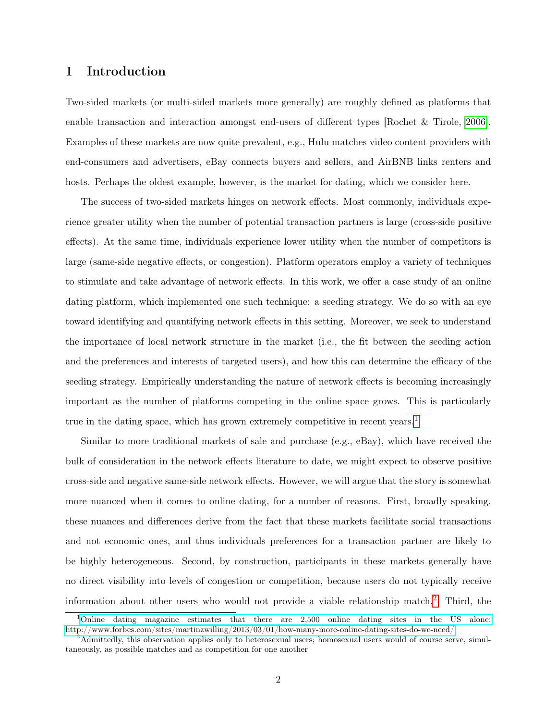## 1 Introduction

Two-sided markets (or multi-sided markets more generally) are roughly defined as platforms that enable transaction and interaction amongst end-users of different types [Rochet & Tirole, [2006\]](#page-17-0). Examples of these markets are now quite prevalent, e.g., Hulu matches video content providers with end-consumers and advertisers, eBay connects buyers and sellers, and AirBNB links renters and hosts. Perhaps the oldest example, however, is the market for dating, which we consider here.

The success of two-sided markets hinges on network effects. Most commonly, individuals experience greater utility when the number of potential transaction partners is large (cross-side positive effects). At the same time, individuals experience lower utility when the number of competitors is large (same-side negative effects, or congestion). Platform operators employ a variety of techniques to stimulate and take advantage of network effects. In this work, we offer a case study of an online dating platform, which implemented one such technique: a seeding strategy. We do so with an eye toward identifying and quantifying network effects in this setting. Moreover, we seek to understand the importance of local network structure in the market (i.e., the fit between the seeding action and the preferences and interests of targeted users), and how this can determine the efficacy of the seeding strategy. Empirically understanding the nature of network effects is becoming increasingly important as the number of platforms competing in the online space grows. This is particularly true in the dating space, which has grown extremely competitive in recent years.<sup>[1](#page-1-0)</sup>

Similar to more traditional markets of sale and purchase (e.g., eBay), which have received the bulk of consideration in the network effects literature to date, we might expect to observe positive cross-side and negative same-side network effects. However, we will argue that the story is somewhat more nuanced when it comes to online dating, for a number of reasons. First, broadly speaking, these nuances and differences derive from the fact that these markets facilitate social transactions and not economic ones, and thus individuals preferences for a transaction partner are likely to be highly heterogeneous. Second, by construction, participants in these markets generally have no direct visibility into levels of congestion or competition, because users do not typically receive information about other users who would not provide a viable relationship match.[2](#page-1-1) Third, the

<span id="page-1-0"></span><sup>&</sup>lt;sup>1</sup>[Online dating magazine estimates that there are 2,500 online dating sites in the US alone:](http://www.forbes.com/sites/martinzwilling/2013/03/01/how-many-more-online-dating-sites-do-we-need/) <http://www.forbes.com/sites/martinzwilling/2013/03/01/how-many-more-online-dating-sites-do-we-need/>

<span id="page-1-1"></span><sup>2</sup>Admittedly, this observation applies only to heterosexual users; homosexual users would of course serve, simultaneously, as possible matches and as competition for one another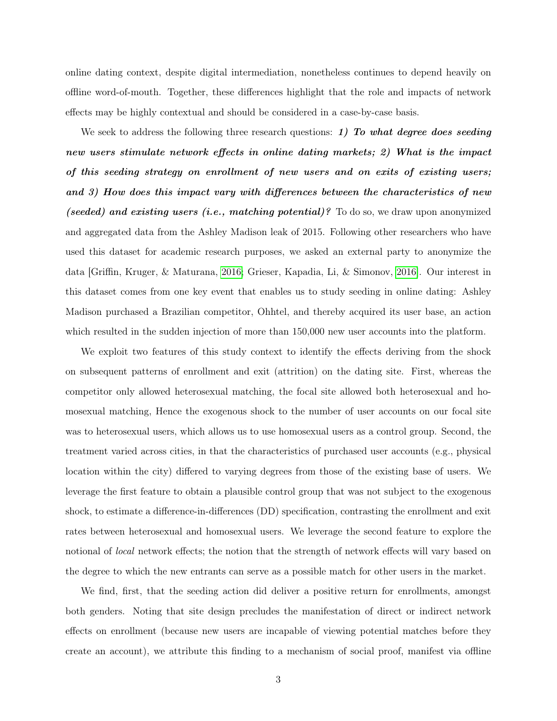online dating context, despite digital intermediation, nonetheless continues to depend heavily on offline word-of-mouth. Together, these differences highlight that the role and impacts of network effects may be highly contextual and should be considered in a case-by-case basis.

We seek to address the following three research questions: 1) To what degree does seeding new users stimulate network effects in online dating markets; 2) What is the impact of this seeding strategy on enrollment of new users and on exits of existing users; and 3) How does this impact vary with differences between the characteristics of new (seeded) and existing users (i.e., matching potential)? To do so, we draw upon anonymized and aggregated data from the Ashley Madison leak of 2015. Following other researchers who have used this dataset for academic research purposes, we asked an external party to anonymize the data [Griffin, Kruger, & Maturana, [2016;](#page-16-0) Grieser, Kapadia, Li, & Simonov, [2016\]](#page-16-1). Our interest in this dataset comes from one key event that enables us to study seeding in online dating: Ashley Madison purchased a Brazilian competitor, Ohhtel, and thereby acquired its user base, an action which resulted in the sudden injection of more than  $150,000$  new user accounts into the platform.

We exploit two features of this study context to identify the effects deriving from the shock on subsequent patterns of enrollment and exit (attrition) on the dating site. First, whereas the competitor only allowed heterosexual matching, the focal site allowed both heterosexual and homosexual matching, Hence the exogenous shock to the number of user accounts on our focal site was to heterosexual users, which allows us to use homosexual users as a control group. Second, the treatment varied across cities, in that the characteristics of purchased user accounts (e.g., physical location within the city) differed to varying degrees from those of the existing base of users. We leverage the first feature to obtain a plausible control group that was not subject to the exogenous shock, to estimate a difference-in-differences (DD) specification, contrasting the enrollment and exit rates between heterosexual and homosexual users. We leverage the second feature to explore the notional of *local* network effects; the notion that the strength of network effects will vary based on the degree to which the new entrants can serve as a possible match for other users in the market.

We find, first, that the seeding action did deliver a positive return for enrollments, amongst both genders. Noting that site design precludes the manifestation of direct or indirect network effects on enrollment (because new users are incapable of viewing potential matches before they create an account), we attribute this finding to a mechanism of social proof, manifest via offline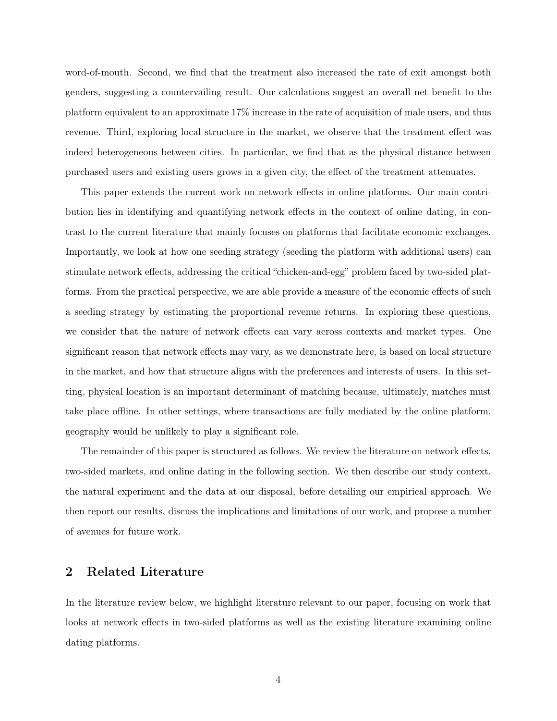word-of-mouth. Second, we find that the treatment also increased the rate of exit amongst both genders, suggesting a countervailing result. Our calculations suggest an overall net benefit to the platform equivalent to an approximate 17% increase in the rate of acquisition of male users, and thus revenue. Third, exploring local structure in the market, we observe that the treatment effect was indeed heterogeneous between cities. In particular, we find that as the physical distance between purchased users and existing users grows in a given city, the effect of the treatment attenuates.

This paper extends the current work on network effects in online platforms. Our main contribution lies in identifying and quantifying network effects in the context of online dating, in contrast to the current literature that mainly focuses on platforms that facilitate economic exchanges. Importantly, we look at how one seeding strategy (seeding the platform with additional users) can stimulate network effects, addressing the critical "chicken-and-egg" problem faced by two-sided platforms. From the practical perspective, we are able provide a measure of the economic effects of such a seeding strategy by estimating the proportional revenue returns. In exploring these questions, we consider that the nature of network effects can vary across contexts and market types. One significant reason that network effects may vary, as we demonstrate here, is based on local structure in the market, and how that structure aligns with the preferences and interests of users. In this setting, physical location is an important determinant of matching because, ultimately, matches must take place offline. In other settings, where transactions are fully mediated by the online platform, geography would be unlikely to play a significant role.

The remainder of this paper is structured as follows. We review the literature on network effects, two-sided markets, and online dating in the following section. We then describe our study context, the natural experiment and the data at our disposal, before detailing our empirical approach. We then report our results, discuss the implications and limitations of our work, and propose a number of avenues for future work.

## 2 Related Literature

In the literature review below, we highlight literature relevant to our paper, focusing on work that looks at network effects in two-sided platforms as well as the existing literature examining online dating platforms.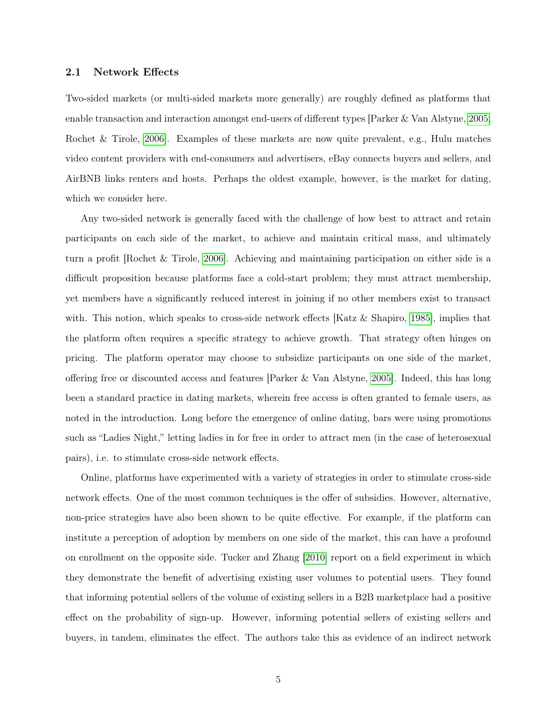#### 2.1 Network Effects

Two-sided markets (or multi-sided markets more generally) are roughly defined as platforms that enable transaction and interaction amongst end-users of different types [Parker & Van Alstyne, [2005;](#page-17-1) Rochet & Tirole, [2006\]](#page-17-0). Examples of these markets are now quite prevalent, e.g., Hulu matches video content providers with end-consumers and advertisers, eBay connects buyers and sellers, and AirBNB links renters and hosts. Perhaps the oldest example, however, is the market for dating, which we consider here.

Any two-sided network is generally faced with the challenge of how best to attract and retain participants on each side of the market, to achieve and maintain critical mass, and ultimately turn a profit [Rochet & Tirole, [2006\]](#page-17-0). Achieving and maintaining participation on either side is a difficult proposition because platforms face a cold-start problem; they must attract membership, yet members have a significantly reduced interest in joining if no other members exist to transact with. This notion, which speaks to cross-side network effects [Katz & Shapiro, [1985\]](#page-17-2), implies that the platform often requires a specific strategy to achieve growth. That strategy often hinges on pricing. The platform operator may choose to subsidize participants on one side of the market, offering free or discounted access and features [Parker & Van Alstyne, [2005\]](#page-17-1). Indeed, this has long been a standard practice in dating markets, wherein free access is often granted to female users, as noted in the introduction. Long before the emergence of online dating, bars were using promotions such as "Ladies Night," letting ladies in for free in order to attract men (in the case of heterosexual pairs), i.e. to stimulate cross-side network effects.

Online, platforms have experimented with a variety of strategies in order to stimulate cross-side network effects. One of the most common techniques is the offer of subsidies. However, alternative, non-price strategies have also been shown to be quite effective. For example, if the platform can institute a perception of adoption by members on one side of the market, this can have a profound on enrollment on the opposite side. Tucker and Zhang [\[2010\]](#page-18-0) report on a field experiment in which they demonstrate the benefit of advertising existing user volumes to potential users. They found that informing potential sellers of the volume of existing sellers in a B2B marketplace had a positive effect on the probability of sign-up. However, informing potential sellers of existing sellers and buyers, in tandem, eliminates the effect. The authors take this as evidence of an indirect network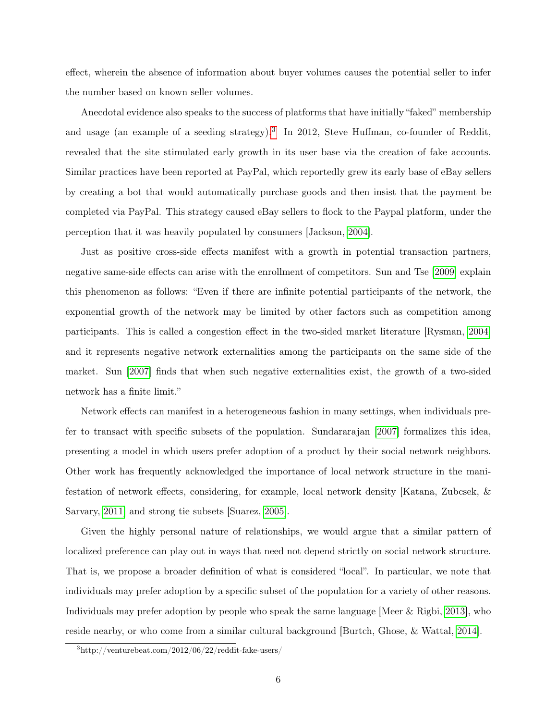effect, wherein the absence of information about buyer volumes causes the potential seller to infer the number based on known seller volumes.

Anecdotal evidence also speaks to the success of platforms that have initially "faked" membership and usage (an example of a seeding strategy).<sup>[3](#page-5-0)</sup> In 2012, Steve Huffman, co-founder of Reddit, revealed that the site stimulated early growth in its user base via the creation of fake accounts. Similar practices have been reported at PayPal, which reportedly grew its early base of eBay sellers by creating a bot that would automatically purchase goods and then insist that the payment be completed via PayPal. This strategy caused eBay sellers to flock to the Paypal platform, under the perception that it was heavily populated by consumers [Jackson, [2004\]](#page-17-3).

Just as positive cross-side effects manifest with a growth in potential transaction partners, negative same-side effects can arise with the enrollment of competitors. Sun and Tse [\[2009\]](#page-17-4) explain this phenomenon as follows: "Even if there are infinite potential participants of the network, the exponential growth of the network may be limited by other factors such as competition among participants. This is called a congestion effect in the two-sided market literature [Rysman, [2004\]](#page-17-5) and it represents negative network externalities among the participants on the same side of the market. Sun [\[2007\]](#page-17-6) finds that when such negative externalities exist, the growth of a two-sided network has a finite limit."

Network effects can manifest in a heterogeneous fashion in many settings, when individuals prefer to transact with specific subsets of the population. Sundararajan [\[2007\]](#page-17-7) formalizes this idea, presenting a model in which users prefer adoption of a product by their social network neighbors. Other work has frequently acknowledged the importance of local network structure in the manifestation of network effects, considering, for example, local network density [Katana, Zubcsek, & Sarvary, [2011\]](#page-17-8) and strong tie subsets [Suarez, [2005\]](#page-17-9).

Given the highly personal nature of relationships, we would argue that a similar pattern of localized preference can play out in ways that need not depend strictly on social network structure. That is, we propose a broader definition of what is considered "local". In particular, we note that individuals may prefer adoption by a specific subset of the population for a variety of other reasons. Individuals may prefer adoption by people who speak the same language [Meer & Rigbi, [2013\]](#page-17-10), who reside nearby, or who come from a similar cultural background [Burtch, Ghose, & Wattal, [2014\]](#page-16-2).

<span id="page-5-0"></span><sup>3</sup>http://venturebeat.com/2012/06/22/reddit-fake-users/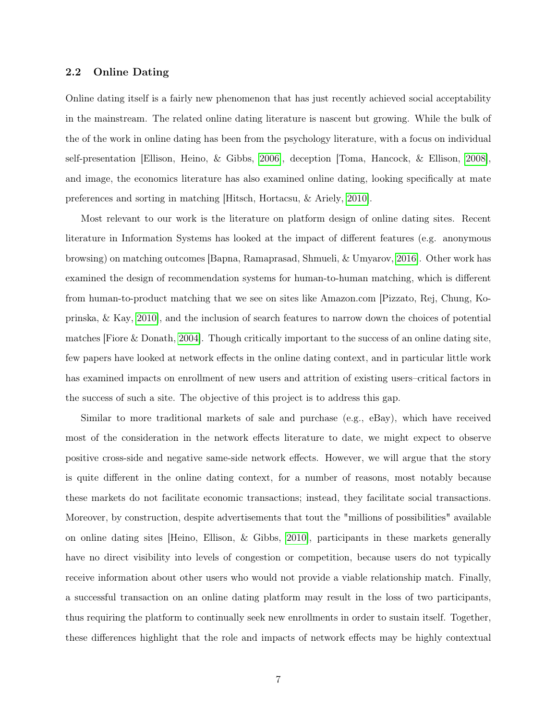#### 2.2 Online Dating

Online dating itself is a fairly new phenomenon that has just recently achieved social acceptability in the mainstream. The related online dating literature is nascent but growing. While the bulk of the of the work in online dating has been from the psychology literature, with a focus on individual self-presentation [Ellison, Heino, & Gibbs, [2006\]](#page-16-3), deception [Toma, Hancock, & Ellison, [2008\]](#page-18-1), and image, the economics literature has also examined online dating, looking specifically at mate preferences and sorting in matching [Hitsch, Hortacsu, & Ariely, [2010\]](#page-17-11).

Most relevant to our work is the literature on platform design of online dating sites. Recent literature in Information Systems has looked at the impact of different features (e.g. anonymous browsing) on matching outcomes [Bapna, Ramaprasad, Shmueli, & Umyarov, [2016\]](#page-16-4). Other work has examined the design of recommendation systems for human-to-human matching, which is different from human-to-product matching that we see on sites like Amazon.com [Pizzato, Rej, Chung, Koprinska, & Kay, [2010\]](#page-17-12), and the inclusion of search features to narrow down the choices of potential matches [Fiore & Donath, [2004\]](#page-16-5). Though critically important to the success of an online dating site, few papers have looked at network effects in the online dating context, and in particular little work has examined impacts on enrollment of new users and attrition of existing users–critical factors in the success of such a site. The objective of this project is to address this gap.

Similar to more traditional markets of sale and purchase (e.g., eBay), which have received most of the consideration in the network effects literature to date, we might expect to observe positive cross-side and negative same-side network effects. However, we will argue that the story is quite different in the online dating context, for a number of reasons, most notably because these markets do not facilitate economic transactions; instead, they facilitate social transactions. Moreover, by construction, despite advertisements that tout the "millions of possibilities" available on online dating sites [Heino, Ellison, & Gibbs, [2010\]](#page-16-6), participants in these markets generally have no direct visibility into levels of congestion or competition, because users do not typically receive information about other users who would not provide a viable relationship match. Finally, a successful transaction on an online dating platform may result in the loss of two participants, thus requiring the platform to continually seek new enrollments in order to sustain itself. Together, these differences highlight that the role and impacts of network effects may be highly contextual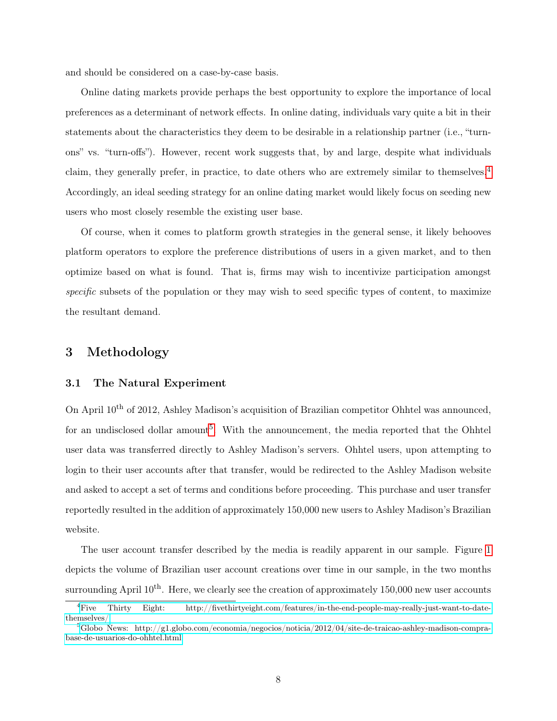and should be considered on a case-by-case basis.

Online dating markets provide perhaps the best opportunity to explore the importance of local preferences as a determinant of network effects. In online dating, individuals vary quite a bit in their statements about the characteristics they deem to be desirable in a relationship partner (i.e., "turnons" vs. "turn-offs"). However, recent work suggests that, by and large, despite what individuals claim, they generally prefer, in practice, to date others who are extremely similar to themselves.[4](#page-7-0) Accordingly, an ideal seeding strategy for an online dating market would likely focus on seeding new users who most closely resemble the existing user base.

Of course, when it comes to platform growth strategies in the general sense, it likely behooves platform operators to explore the preference distributions of users in a given market, and to then optimize based on what is found. That is, firms may wish to incentivize participation amongst specific subsets of the population or they may wish to seed specific types of content, to maximize the resultant demand.

## 3 Methodology

#### 3.1 The Natural Experiment

On April 10th of 2012, Ashley Madison's acquisition of Brazilian competitor Ohhtel was announced, for an undisclosed dollar amount<sup>[5](#page-7-1)</sup>. With the announcement, the media reported that the Ohhtel user data was transferred directly to Ashley Madison's servers. Ohhtel users, upon attempting to login to their user accounts after that transfer, would be redirected to the Ashley Madison website and asked to accept a set of terms and conditions before proceeding. This purchase and user transfer reportedly resulted in the addition of approximately 150,000 new users to Ashley Madison's Brazilian website.

The user account transfer described by the media is readily apparent in our sample. Figure [1](#page-20-0) depicts the volume of Brazilian user account creations over time in our sample, in the two months surrounding April  $10^{th}$ . Here, we clearly see the creation of approximately 150,000 new user accounts

<span id="page-7-0"></span><sup>4</sup>[Five Thirty Eight: http://fivethirtyeight.com/features/in-the-end-people-may-really-just-want-to-date](http://fivethirtyeight.com/features/in-the-end-people-may-really-just-want-to-date-themselves/)[themselves/](http://fivethirtyeight.com/features/in-the-end-people-may-really-just-want-to-date-themselves/)

<span id="page-7-1"></span> ${}^5$ [Globo News: http://g1.globo.com/economia/negocios/noticia/2012/04/site-de-traicao-ashley-madison-compra](http://g1.globo.com/economia/negocios/noticia/2012/04/site-de-traicao-ashley-madison-compra-base-de-usuarios-do-ohhtel.html)[base-de-usuarios-do-ohhtel.html](http://g1.globo.com/economia/negocios/noticia/2012/04/site-de-traicao-ashley-madison-compra-base-de-usuarios-do-ohhtel.html)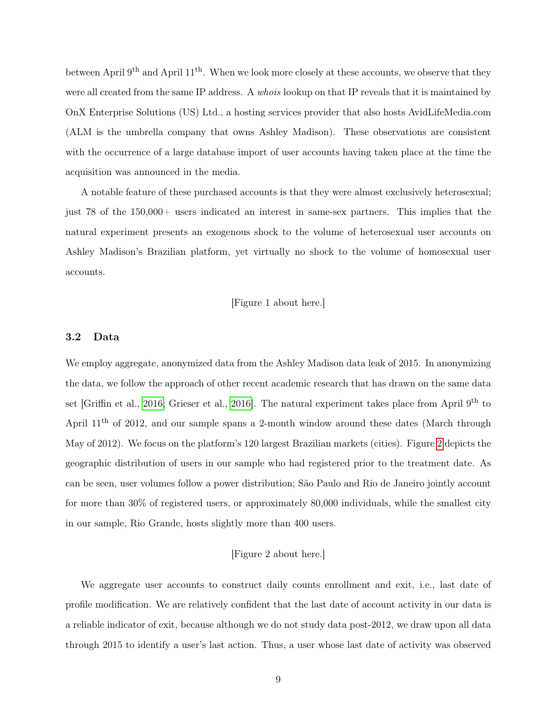between April 9<sup>th</sup> and April 11<sup>th</sup>. When we look more closely at these accounts, we observe that they were all created from the same IP address. A whois lookup on that IP reveals that it is maintained by OnX Enterprise Solutions (US) Ltd., a hosting services provider that also hosts AvidLifeMedia.com (ALM is the umbrella company that owns Ashley Madison). These observations are consistent with the occurrence of a large database import of user accounts having taken place at the time the acquisition was announced in the media.

A notable feature of these purchased accounts is that they were almost exclusively heterosexual; just 78 of the 150,000+ users indicated an interest in same-sex partners. This implies that the natural experiment presents an exogenous shock to the volume of heterosexual user accounts on Ashley Madison's Brazilian platform, yet virtually no shock to the volume of homosexual user accounts.

[Figure 1 about here.]

#### 3.2 Data

We employ aggregate, anonymized data from the Ashley Madison data leak of 2015. In anonymizing the data, we follow the approach of other recent academic research that has drawn on the same data set [Griffin et al., [2016;](#page-16-0) Grieser et al., [2016\]](#page-16-1). The natural experiment takes place from April 9<sup>th</sup> to April  $11<sup>th</sup>$  of 2012, and our sample spans a 2-month window around these dates (March through May of 2012). We focus on the platform's 120 largest Brazilian markets (cities). Figure [2](#page-21-0) depicts the geographic distribution of users in our sample who had registered prior to the treatment date. As can be seen, user volumes follow a power distribution; São Paulo and Rio de Janeiro jointly account for more than 30% of registered users, or approximately 80,000 individuals, while the smallest city in our sample, Rio Grande, hosts slightly more than 400 users.

#### [Figure 2 about here.]

We aggregate user accounts to construct daily counts enrollment and exit, i.e., last date of profile modification. We are relatively confident that the last date of account activity in our data is a reliable indicator of exit, because although we do not study data post-2012, we draw upon all data through 2015 to identify a user's last action. Thus, a user whose last date of activity was observed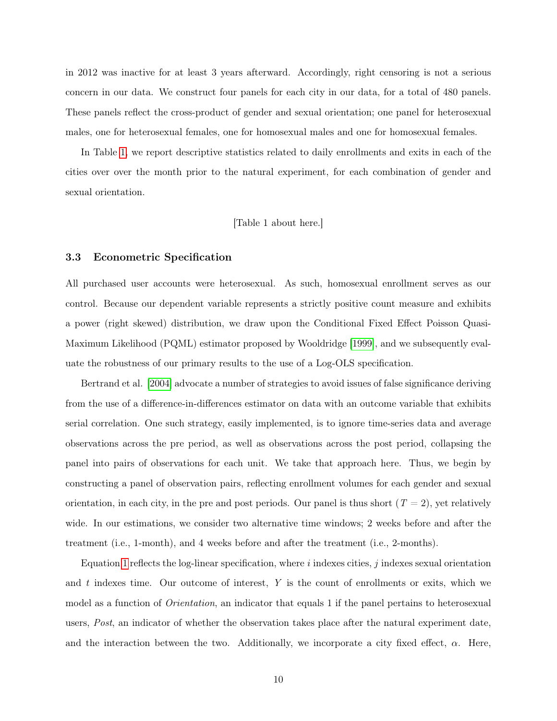in 2012 was inactive for at least 3 years afterward. Accordingly, right censoring is not a serious concern in our data. We construct four panels for each city in our data, for a total of 480 panels. These panels reflect the cross-product of gender and sexual orientation; one panel for heterosexual males, one for heterosexual females, one for homosexual males and one for homosexual females.

In Table [1,](#page-25-0) we report descriptive statistics related to daily enrollments and exits in each of the cities over over the month prior to the natural experiment, for each combination of gender and sexual orientation.

[Table 1 about here.]

#### 3.3 Econometric Specification

All purchased user accounts were heterosexual. As such, homosexual enrollment serves as our control. Because our dependent variable represents a strictly positive count measure and exhibits a power (right skewed) distribution, we draw upon the Conditional Fixed Effect Poisson Quasi-Maximum Likelihood (PQML) estimator proposed by Wooldridge [\[1999\]](#page-18-2), and we subsequently evaluate the robustness of our primary results to the use of a Log-OLS specification.

Bertrand et al. [\[2004\]](#page-16-7) advocate a number of strategies to avoid issues of false significance deriving from the use of a difference-in-differences estimator on data with an outcome variable that exhibits serial correlation. One such strategy, easily implemented, is to ignore time-series data and average observations across the pre period, as well as observations across the post period, collapsing the panel into pairs of observations for each unit. We take that approach here. Thus, we begin by constructing a panel of observation pairs, reflecting enrollment volumes for each gender and sexual orientation, in each city, in the pre and post periods. Our panel is thus short  $(T = 2)$ , yet relatively wide. In our estimations, we consider two alternative time windows; 2 weeks before and after the treatment (i.e., 1-month), and 4 weeks before and after the treatment (i.e., 2-months).

Equation [1](#page-10-0) reflects the log-linear specification, where i indexes cities, j indexes sexual orientation and  $t$  indexes time. Our outcome of interest,  $Y$  is the count of enrollments or exits, which we model as a function of Orientation, an indicator that equals 1 if the panel pertains to heterosexual users, Post, an indicator of whether the observation takes place after the natural experiment date, and the interaction between the two. Additionally, we incorporate a city fixed effect,  $\alpha$ . Here,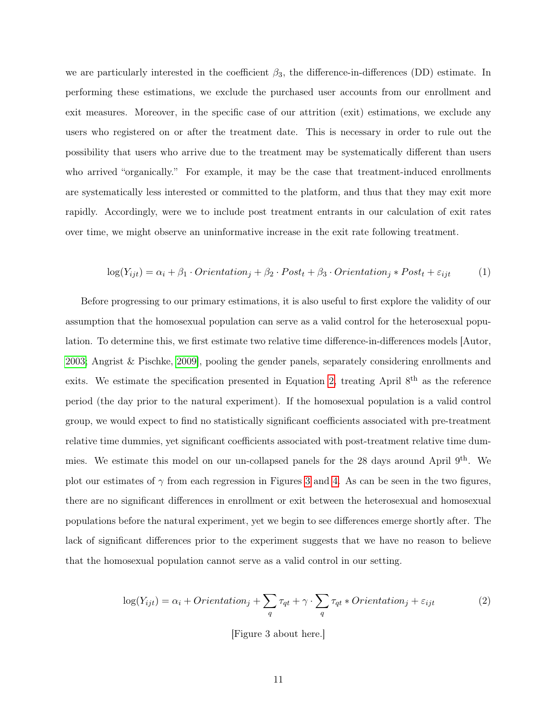we are particularly interested in the coefficient  $\beta_3$ , the difference-in-differences (DD) estimate. In performing these estimations, we exclude the purchased user accounts from our enrollment and exit measures. Moreover, in the specific case of our attrition (exit) estimations, we exclude any users who registered on or after the treatment date. This is necessary in order to rule out the possibility that users who arrive due to the treatment may be systematically different than users who arrived "organically." For example, it may be the case that treatment-induced enrollments are systematically less interested or committed to the platform, and thus that they may exit more rapidly. Accordingly, were we to include post treatment entrants in our calculation of exit rates over time, we might observe an uninformative increase in the exit rate following treatment.

<span id="page-10-0"></span>
$$
log(Y_{ijt}) = \alpha_i + \beta_1 \cdot Orientation_j + \beta_2 \cdot Post_t + \beta_3 \cdot Orientation_j * Post_t + \varepsilon_{ijt}
$$
 (1)

Before progressing to our primary estimations, it is also useful to first explore the validity of our assumption that the homosexual population can serve as a valid control for the heterosexual population. To determine this, we first estimate two relative time difference-in-differences models [Autor, [2003;](#page-16-8) Angrist & Pischke, [2009\]](#page-16-9), pooling the gender panels, separately considering enrollments and exits. We estimate the specification presented in Equation [2,](#page-10-1) treating April 8<sup>th</sup> as the reference period (the day prior to the natural experiment). If the homosexual population is a valid control group, we would expect to find no statistically significant coefficients associated with pre-treatment relative time dummies, yet significant coefficients associated with post-treatment relative time dummies. We estimate this model on our un-collapsed panels for the 28 days around April 9<sup>th</sup>. We plot our estimates of  $\gamma$  from each regression in Figures [3](#page-22-0) and [4.](#page-23-0) As can be seen in the two figures, there are no significant differences in enrollment or exit between the heterosexual and homosexual populations before the natural experiment, yet we begin to see differences emerge shortly after. The lack of significant differences prior to the experiment suggests that we have no reason to believe that the homosexual population cannot serve as a valid control in our setting.

<span id="page-10-1"></span>
$$
\log(Y_{ijt}) = \alpha_i + Orientation_j + \sum_q \tau_{qt} + \gamma \cdot \sum_q \tau_{qt} * Orientation_j + \varepsilon_{ijt}
$$
 (2)

[Figure 3 about here.]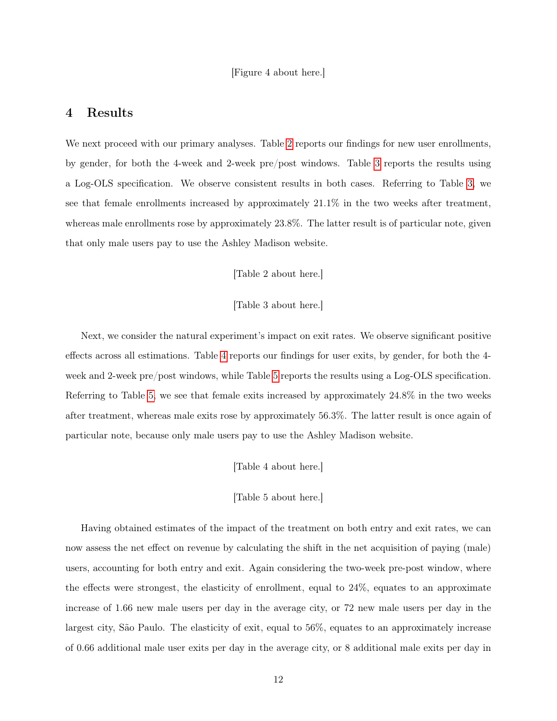## 4 Results

We next proceed with our primary analyses. Table [2](#page-26-0) reports our findings for new user enrollments, by gender, for both the 4-week and 2-week pre/post windows. Table [3](#page-27-0) reports the results using a Log-OLS specification. We observe consistent results in both cases. Referring to Table [3,](#page-27-0) we see that female enrollments increased by approximately 21.1% in the two weeks after treatment, whereas male enrollments rose by approximately 23.8%. The latter result is of particular note, given that only male users pay to use the Ashley Madison website.

[Table 2 about here.]

#### [Table 3 about here.]

Next, we consider the natural experiment's impact on exit rates. We observe significant positive effects across all estimations. Table [4](#page-28-0) reports our findings for user exits, by gender, for both the 4 week and 2-week pre/post windows, while Table [5](#page-29-0) reports the results using a Log-OLS specification. Referring to Table [5,](#page-29-0) we see that female exits increased by approximately 24.8% in the two weeks after treatment, whereas male exits rose by approximately 56.3%. The latter result is once again of particular note, because only male users pay to use the Ashley Madison website.

[Table 4 about here.]

[Table 5 about here.]

Having obtained estimates of the impact of the treatment on both entry and exit rates, we can now assess the net effect on revenue by calculating the shift in the net acquisition of paying (male) users, accounting for both entry and exit. Again considering the two-week pre-post window, where the effects were strongest, the elasticity of enrollment, equal to 24%, equates to an approximate increase of 1.66 new male users per day in the average city, or 72 new male users per day in the largest city, São Paulo. The elasticity of exit, equal to 56%, equates to an approximately increase of 0.66 additional male user exits per day in the average city, or 8 additional male exits per day in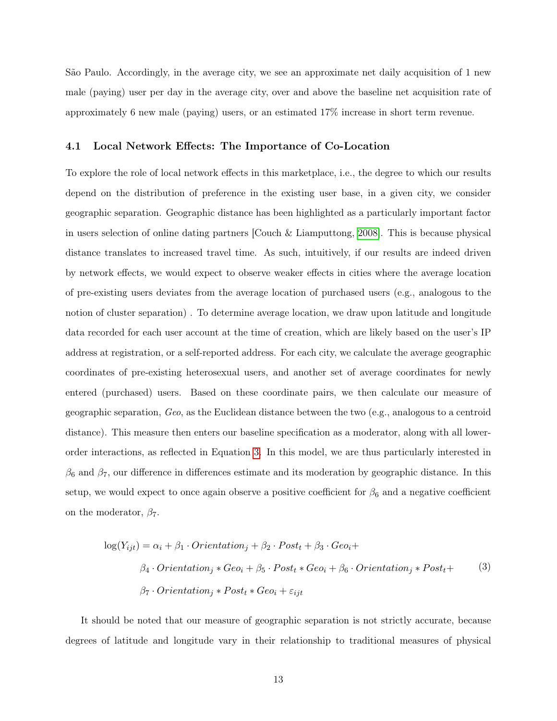São Paulo. Accordingly, in the average city, we see an approximate net daily acquisition of 1 new male (paying) user per day in the average city, over and above the baseline net acquisition rate of approximately 6 new male (paying) users, or an estimated 17% increase in short term revenue.

#### 4.1 Local Network Effects: The Importance of Co-Location

To explore the role of local network effects in this marketplace, i.e., the degree to which our results depend on the distribution of preference in the existing user base, in a given city, we consider geographic separation. Geographic distance has been highlighted as a particularly important factor in users selection of online dating partners [Couch & Liamputtong, [2008\]](#page-16-10). This is because physical distance translates to increased travel time. As such, intuitively, if our results are indeed driven by network effects, we would expect to observe weaker effects in cities where the average location of pre-existing users deviates from the average location of purchased users (e.g., analogous to the notion of cluster separation) . To determine average location, we draw upon latitude and longitude data recorded for each user account at the time of creation, which are likely based on the user's IP address at registration, or a self-reported address. For each city, we calculate the average geographic coordinates of pre-existing heterosexual users, and another set of average coordinates for newly entered (purchased) users. Based on these coordinate pairs, we then calculate our measure of geographic separation, Geo, as the Euclidean distance between the two (e.g., analogous to a centroid distance). This measure then enters our baseline specification as a moderator, along with all lowerorder interactions, as reflected in Equation [3.](#page-12-0) In this model, we are thus particularly interested in  $\beta_6$  and  $\beta_7$ , our difference in differences estimate and its moderation by geographic distance. In this setup, we would expect to once again observe a positive coefficient for  $\beta_6$  and a negative coefficient on the moderator,  $\beta$ <sub>7</sub>.

<span id="page-12-0"></span>
$$
log(Y_{ijt}) = \alpha_i + \beta_1 \cdot Orientation_j + \beta_2 \cdot Post_t + \beta_3 \cdot Geo_i +
$$
  

$$
\beta_4 \cdot Orientation_j * Geo_i + \beta_5 \cdot Post_t * Geo_i + \beta_6 \cdot Orientation_j * Post_t +
$$
  

$$
\beta_7 \cdot Orientation_j * Post_t * Geo_i + \varepsilon_{ijt}
$$
 (3)

It should be noted that our measure of geographic separation is not strictly accurate, because degrees of latitude and longitude vary in their relationship to traditional measures of physical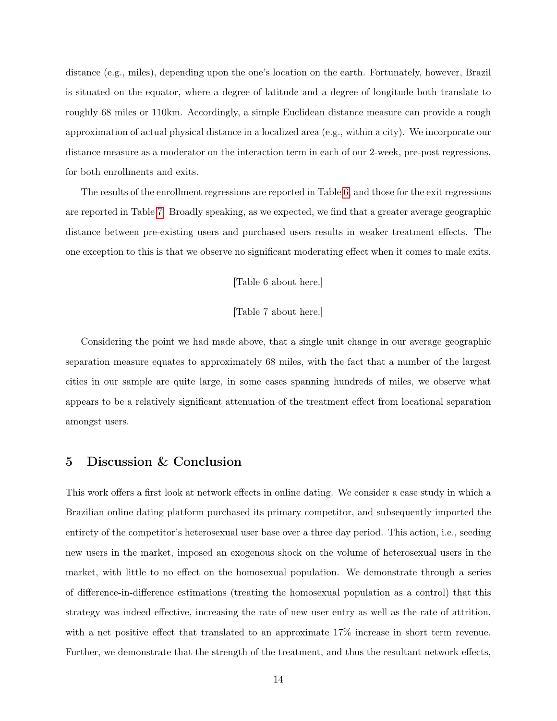distance (e.g., miles), depending upon the one's location on the earth. Fortunately, however, Brazil is situated on the equator, where a degree of latitude and a degree of longitude both translate to roughly 68 miles or 110km. Accordingly, a simple Euclidean distance measure can provide a rough approximation of actual physical distance in a localized area (e.g., within a city). We incorporate our distance measure as a moderator on the interaction term in each of our 2-week, pre-post regressions, for both enrollments and exits.

The results of the enrollment regressions are reported in Table [6,](#page-30-0) and those for the exit regressions are reported in Table [7.](#page-31-0) Broadly speaking, as we expected, we find that a greater average geographic distance between pre-existing users and purchased users results in weaker treatment effects. The one exception to this is that we observe no significant moderating effect when it comes to male exits.

#### [Table 6 about here.]

#### [Table 7 about here.]

Considering the point we had made above, that a single unit change in our average geographic separation measure equates to approximately 68 miles, with the fact that a number of the largest cities in our sample are quite large, in some cases spanning hundreds of miles, we observe what appears to be a relatively significant attenuation of the treatment effect from locational separation amongst users.

## 5 Discussion & Conclusion

This work offers a first look at network effects in online dating. We consider a case study in which a Brazilian online dating platform purchased its primary competitor, and subsequently imported the entirety of the competitor's heterosexual user base over a three day period. This action, i.e., seeding new users in the market, imposed an exogenous shock on the volume of heterosexual users in the market, with little to no effect on the homosexual population. We demonstrate through a series of difference-in-difference estimations (treating the homosexual population as a control) that this strategy was indeed effective, increasing the rate of new user entry as well as the rate of attrition, with a net positive effect that translated to an approximate 17% increase in short term revenue. Further, we demonstrate that the strength of the treatment, and thus the resultant network effects,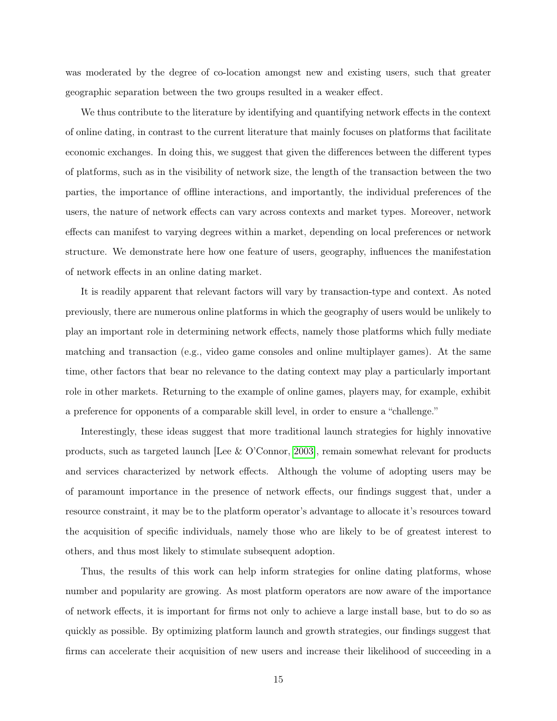was moderated by the degree of co-location amongst new and existing users, such that greater geographic separation between the two groups resulted in a weaker effect.

We thus contribute to the literature by identifying and quantifying network effects in the context of online dating, in contrast to the current literature that mainly focuses on platforms that facilitate economic exchanges. In doing this, we suggest that given the differences between the different types of platforms, such as in the visibility of network size, the length of the transaction between the two parties, the importance of offline interactions, and importantly, the individual preferences of the users, the nature of network effects can vary across contexts and market types. Moreover, network effects can manifest to varying degrees within a market, depending on local preferences or network structure. We demonstrate here how one feature of users, geography, influences the manifestation of network effects in an online dating market.

It is readily apparent that relevant factors will vary by transaction-type and context. As noted previously, there are numerous online platforms in which the geography of users would be unlikely to play an important role in determining network effects, namely those platforms which fully mediate matching and transaction (e.g., video game consoles and online multiplayer games). At the same time, other factors that bear no relevance to the dating context may play a particularly important role in other markets. Returning to the example of online games, players may, for example, exhibit a preference for opponents of a comparable skill level, in order to ensure a "challenge."

Interestingly, these ideas suggest that more traditional launch strategies for highly innovative products, such as targeted launch [Lee & O'Connor, [2003\]](#page-17-13), remain somewhat relevant for products and services characterized by network effects. Although the volume of adopting users may be of paramount importance in the presence of network effects, our findings suggest that, under a resource constraint, it may be to the platform operator's advantage to allocate it's resources toward the acquisition of specific individuals, namely those who are likely to be of greatest interest to others, and thus most likely to stimulate subsequent adoption.

Thus, the results of this work can help inform strategies for online dating platforms, whose number and popularity are growing. As most platform operators are now aware of the importance of network effects, it is important for firms not only to achieve a large install base, but to do so as quickly as possible. By optimizing platform launch and growth strategies, our findings suggest that firms can accelerate their acquisition of new users and increase their likelihood of succeeding in a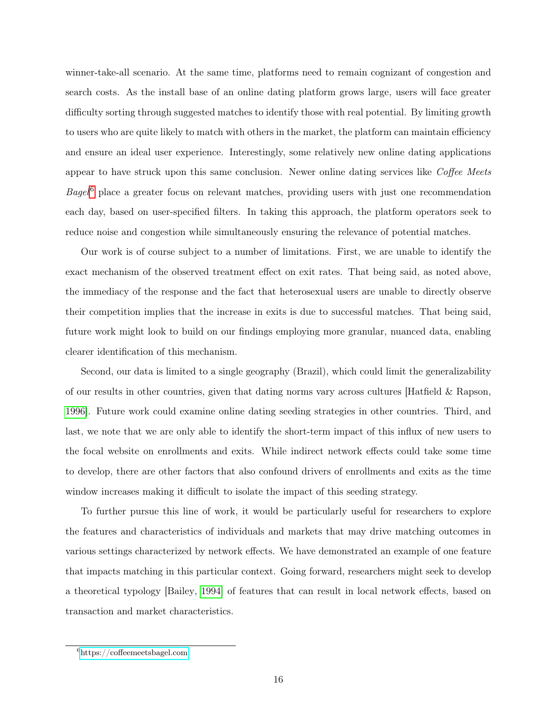winner-take-all scenario. At the same time, platforms need to remain cognizant of congestion and search costs. As the install base of an online dating platform grows large, users will face greater difficulty sorting through suggested matches to identify those with real potential. By limiting growth to users who are quite likely to match with others in the market, the platform can maintain efficiency and ensure an ideal user experience. Interestingly, some relatively new online dating applications appear to have struck upon this same conclusion. Newer online dating services like Coffee Meets  $Bagel^6$  $Bagel^6$  place a greater focus on relevant matches, providing users with just one recommendation each day, based on user-specified filters. In taking this approach, the platform operators seek to reduce noise and congestion while simultaneously ensuring the relevance of potential matches.

Our work is of course subject to a number of limitations. First, we are unable to identify the exact mechanism of the observed treatment effect on exit rates. That being said, as noted above, the immediacy of the response and the fact that heterosexual users are unable to directly observe their competition implies that the increase in exits is due to successful matches. That being said, future work might look to build on our findings employing more granular, nuanced data, enabling clearer identification of this mechanism.

Second, our data is limited to a single geography (Brazil), which could limit the generalizability of our results in other countries, given that dating norms vary across cultures [Hatfield & Rapson, [1996\]](#page-16-11). Future work could examine online dating seeding strategies in other countries. Third, and last, we note that we are only able to identify the short-term impact of this influx of new users to the focal website on enrollments and exits. While indirect network effects could take some time to develop, there are other factors that also confound drivers of enrollments and exits as the time window increases making it difficult to isolate the impact of this seeding strategy.

To further pursue this line of work, it would be particularly useful for researchers to explore the features and characteristics of individuals and markets that may drive matching outcomes in various settings characterized by network effects. We have demonstrated an example of one feature that impacts matching in this particular context. Going forward, researchers might seek to develop a theoretical typology [Bailey, [1994\]](#page-16-12) of features that can result in local network effects, based on transaction and market characteristics.

<span id="page-15-0"></span> $6$ <https://coffeemeetsbagel.com>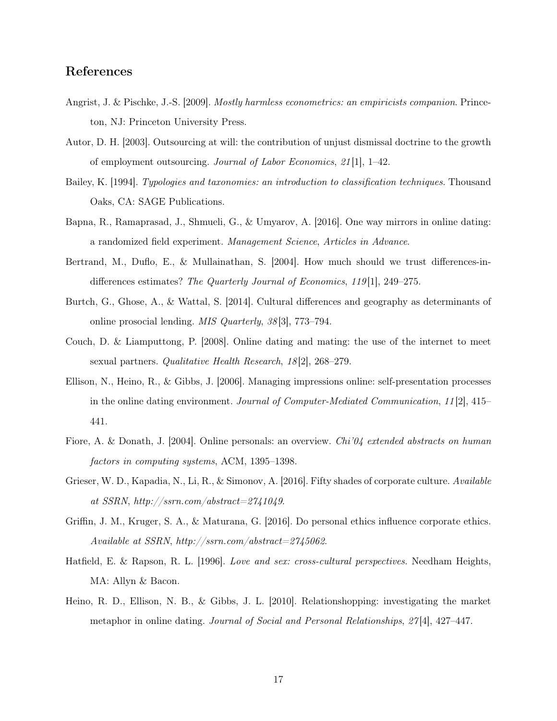## References

- <span id="page-16-9"></span>Angrist, J. & Pischke, J.-S. [2009]. Mostly harmless econometrics: an empiricists companion. Princeton, NJ: Princeton University Press.
- <span id="page-16-8"></span>Autor, D. H. [2003]. Outsourcing at will: the contribution of unjust dismissal doctrine to the growth of employment outsourcing. Journal of Labor Economics, 21 [1], 1–42.
- <span id="page-16-12"></span>Bailey, K. [1994]. Typologies and taxonomies: an introduction to classification techniques. Thousand Oaks, CA: SAGE Publications.
- <span id="page-16-4"></span>Bapna, R., Ramaprasad, J., Shmueli, G., & Umyarov, A. [2016]. One way mirrors in online dating: a randomized field experiment. Management Science, Articles in Advance.
- <span id="page-16-7"></span>Bertrand, M., Duflo, E., & Mullainathan, S. [2004]. How much should we trust differences-indifferences estimates? The Quarterly Journal of Economics, 119<sup>[1]</sup>, 249–275.
- <span id="page-16-2"></span>Burtch, G., Ghose, A., & Wattal, S. [2014]. Cultural differences and geography as determinants of online prosocial lending. MIS Quarterly, 38 [3], 773–794.
- <span id="page-16-10"></span>Couch, D. & Liamputtong, P. [2008]. Online dating and mating: the use of the internet to meet sexual partners. *Qualitative Health Research*, 18<sup>[2]</sup>, 268–279.
- <span id="page-16-3"></span>Ellison, N., Heino, R., & Gibbs, J. [2006]. Managing impressions online: self-presentation processes in the online dating environment. Journal of Computer-Mediated Communication, 11 [2], 415– 441.
- <span id="page-16-5"></span>Fiore, A. & Donath, J. [2004]. Online personals: an overview. Chi'04 extended abstracts on human factors in computing systems, ACM, 1395–1398.
- <span id="page-16-1"></span>Grieser, W. D., Kapadia, N., Li, R., & Simonov, A. [2016]. Fifty shades of corporate culture. Available at SSRN, http://ssrn.com/abstract=2741049.
- <span id="page-16-0"></span>Griffin, J. M., Kruger, S. A., & Maturana, G. [2016]. Do personal ethics influence corporate ethics. Available at SSRN, http://ssrn.com/abstract=2745062.
- <span id="page-16-11"></span>Hatfield, E. & Rapson, R. L. [1996]. Love and sex: cross-cultural perspectives. Needham Heights, MA: Allyn & Bacon.
- <span id="page-16-6"></span>Heino, R. D., Ellison, N. B., & Gibbs, J. L. [2010]. Relationshopping: investigating the market metaphor in online dating. Journal of Social and Personal Relationships, 27 [4], 427–447.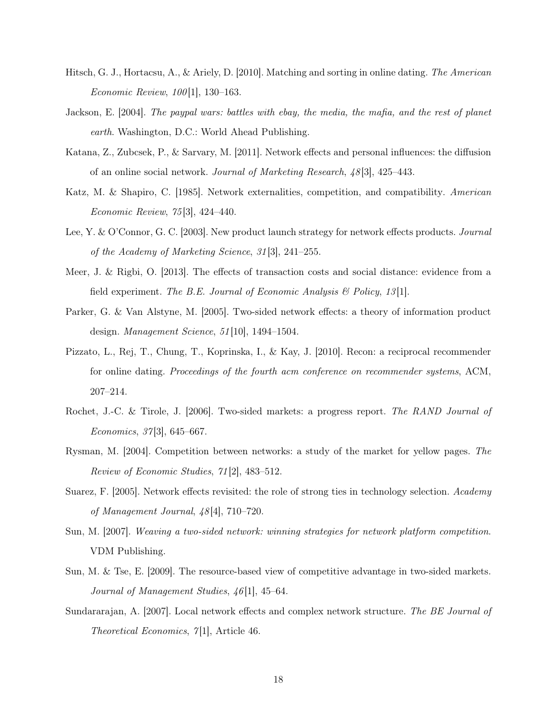- <span id="page-17-11"></span>Hitsch, G. J., Hortacsu, A., & Ariely, D. [2010]. Matching and sorting in online dating. The American Economic Review, 100 [1], 130–163.
- <span id="page-17-3"></span>Jackson, E. [2004]. The paypal wars: battles with ebay, the media, the mafia, and the rest of planet earth. Washington, D.C.: World Ahead Publishing.
- <span id="page-17-8"></span>Katana, Z., Zubcsek, P., & Sarvary, M. [2011]. Network effects and personal influences: the diffusion of an online social network. Journal of Marketing Research, 48 [3], 425–443.
- <span id="page-17-2"></span>Katz, M. & Shapiro, C. [1985]. Network externalities, competition, and compatibility. American Economic Review, 75 [3], 424–440.
- <span id="page-17-13"></span>Lee, Y. & O'Connor, G. C. [2003]. New product launch strategy for network effects products. Journal of the Academy of Marketing Science, 31 [3], 241–255.
- <span id="page-17-10"></span>Meer, J. & Rigbi, O. [2013]. The effects of transaction costs and social distance: evidence from a field experiment. The B.E. Journal of Economic Analysis  $\mathcal{B}$  Policy, 13.
- <span id="page-17-1"></span>Parker, G. & Van Alstyne, M. [2005]. Two-sided network effects: a theory of information product design. Management Science, 51 [10], 1494–1504.
- <span id="page-17-12"></span>Pizzato, L., Rej, T., Chung, T., Koprinska, I., & Kay, J. [2010]. Recon: a reciprocal recommender for online dating. Proceedings of the fourth acm conference on recommender systems, ACM, 207–214.
- <span id="page-17-0"></span>Rochet, J.-C. & Tirole, J. [2006]. Two-sided markets: a progress report. The RAND Journal of Economics, 37 [3], 645–667.
- <span id="page-17-5"></span>Rysman, M. [2004]. Competition between networks: a study of the market for yellow pages. The Review of Economic Studies, 71 [2], 483–512.
- <span id="page-17-9"></span>Suarez, F. [2005]. Network effects revisited: the role of strong ties in technology selection. Academy of Management Journal, 48 [4], 710–720.
- <span id="page-17-6"></span>Sun, M. [2007]. Weaving a two-sided network: winning strategies for network platform competition. VDM Publishing.
- <span id="page-17-4"></span>Sun, M. & Tse, E. [2009]. The resource-based view of competitive advantage in two-sided markets. Journal of Management Studies, 46<sup>[1]</sup>, 45–64.
- <span id="page-17-7"></span>Sundararajan, A. [2007]. Local network effects and complex network structure. The BE Journal of Theoretical Economics,  $7\vert 1$ , Article 46.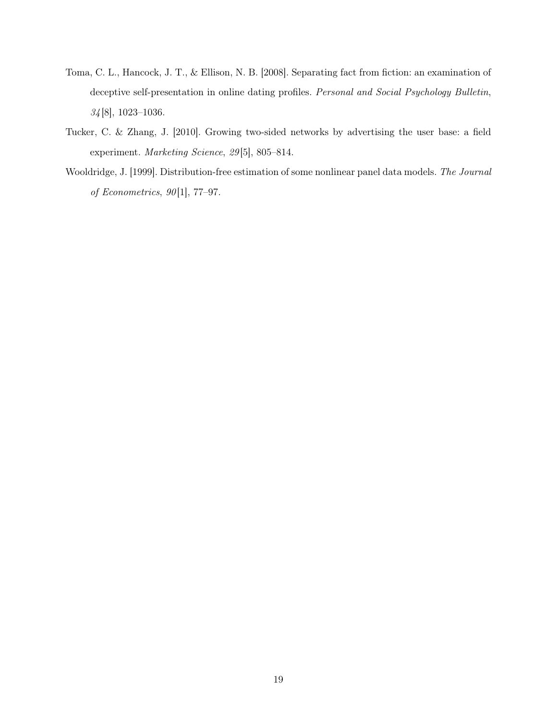- <span id="page-18-1"></span>Toma, C. L., Hancock, J. T., & Ellison, N. B. [2008]. Separating fact from fiction: an examination of deceptive self-presentation in online dating profiles. Personal and Social Psychology Bulletin, 34 [8], 1023–1036.
- <span id="page-18-0"></span>Tucker, C. & Zhang, J. [2010]. Growing two-sided networks by advertising the user base: a field experiment. Marketing Science, 29 [5], 805–814.
- <span id="page-18-2"></span>Wooldridge, J. [1999]. Distribution-free estimation of some nonlinear panel data models. The Journal of Econometrics, 90 [1], 77–97.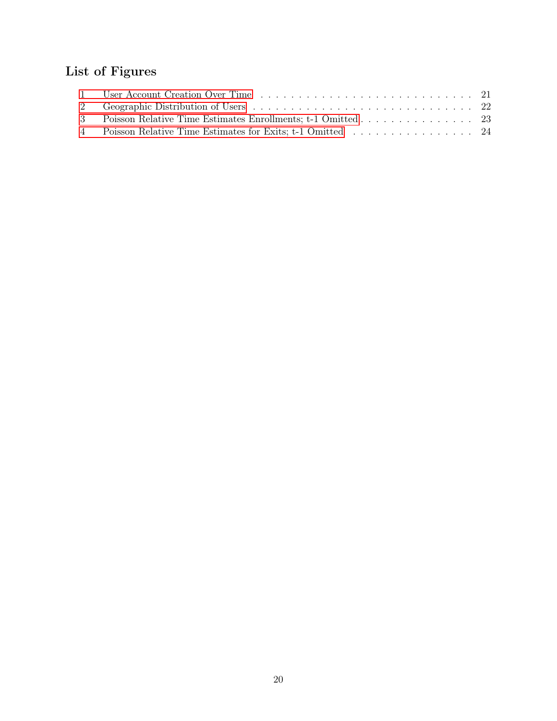# List of Figures

| 3 Poisson Relative Time Estimates Enrollments; t-1 Omitted 23 |  |
|---------------------------------------------------------------|--|
| 4 Poisson Relative Time Estimates for Exits; t-1 Omitted 24   |  |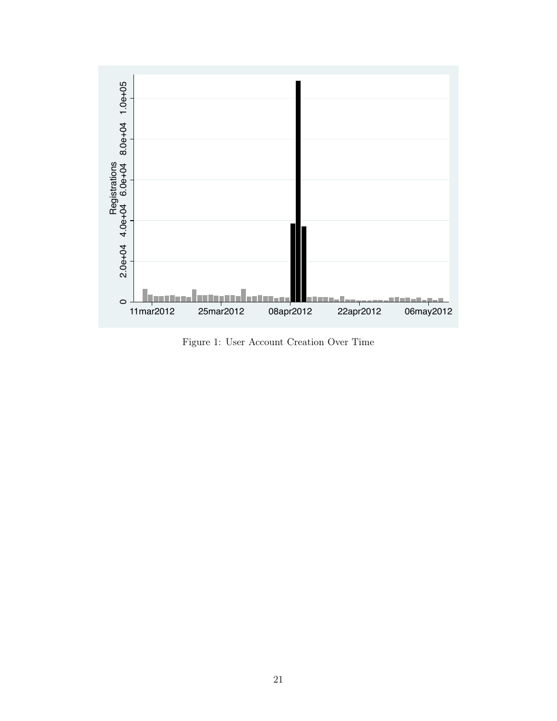<span id="page-20-0"></span>

Figure 1: User Account Creation Over Time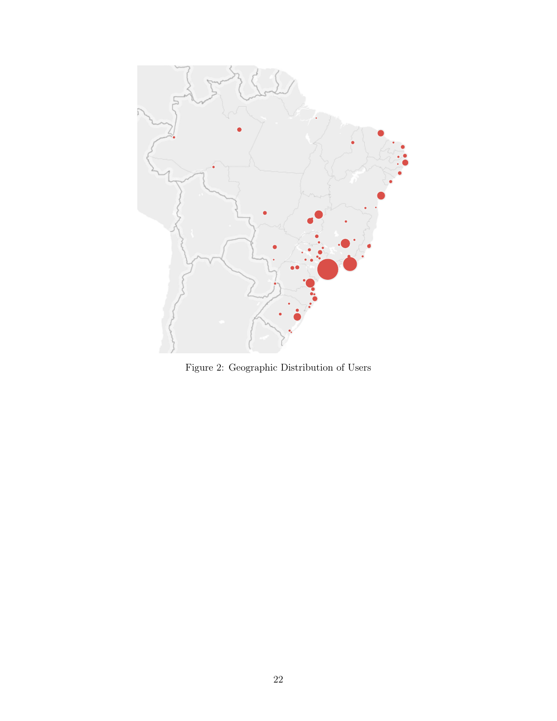<span id="page-21-0"></span>

Figure 2: Geographic Distribution of Users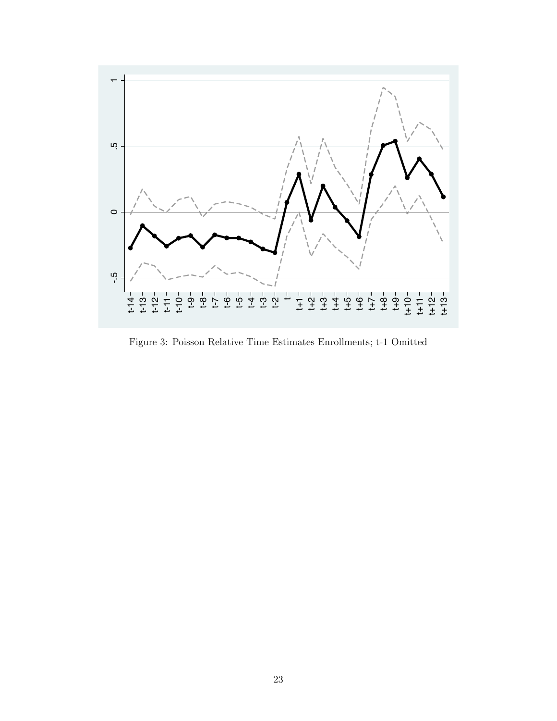<span id="page-22-0"></span>

Figure 3: Poisson Relative Time Estimates Enrollments; t-1 Omitted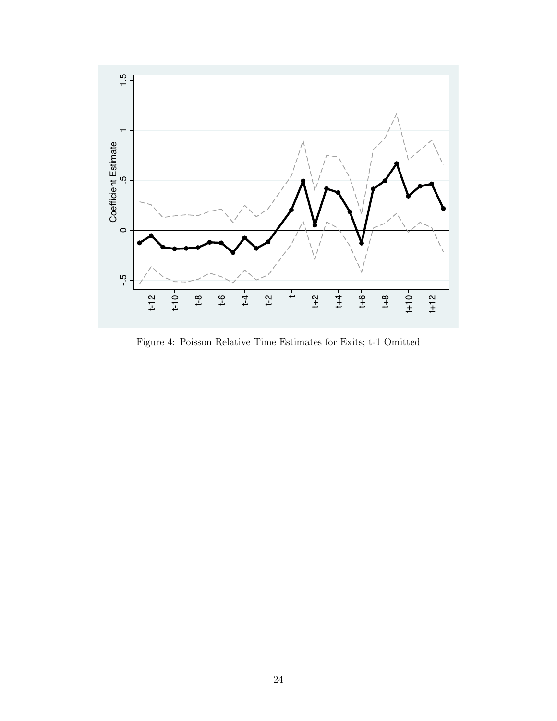<span id="page-23-0"></span>

Figure 4: Poisson Relative Time Estimates for Exits; t-1 Omitted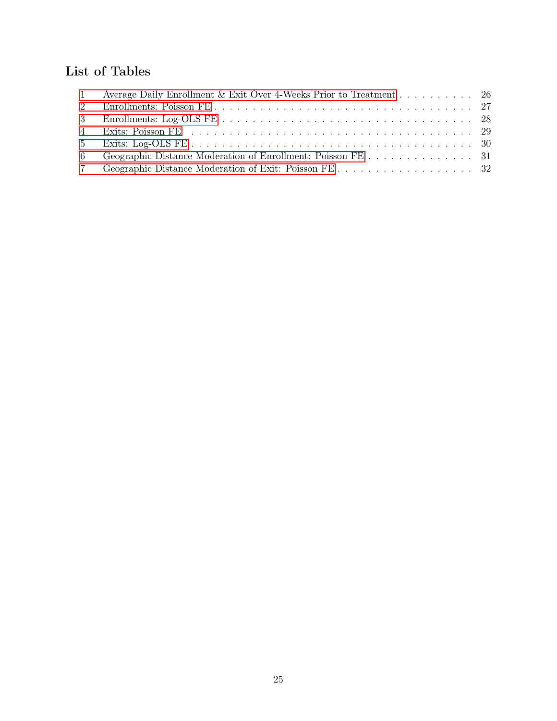# List of Tables

|   | 1 Average Daily Enrollment & Exit Over 4-Weeks Prior to Treatment 26 |  |
|---|----------------------------------------------------------------------|--|
|   |                                                                      |  |
|   |                                                                      |  |
|   |                                                                      |  |
|   |                                                                      |  |
| 6 |                                                                      |  |
|   |                                                                      |  |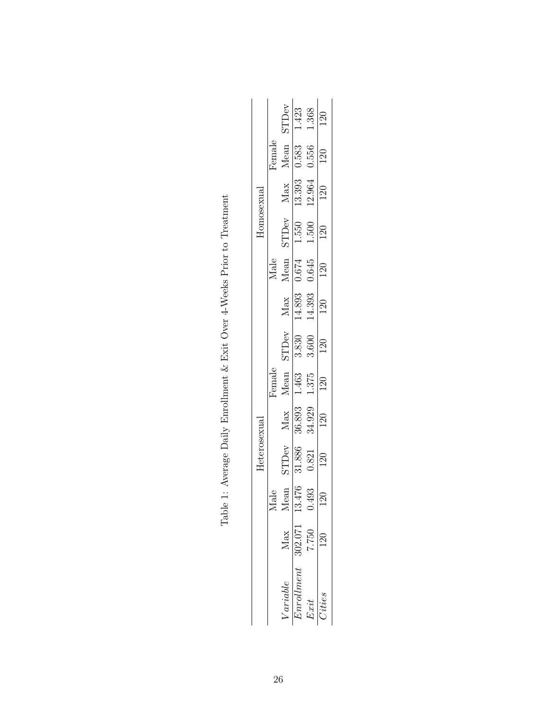<span id="page-25-0"></span>

|  |              |        | $\frac{\text{STDev}}{1.423}$                                                                                                                                 |                             | $0.556$ 1.368                                                                                | 120              |
|--|--------------|--------|--------------------------------------------------------------------------------------------------------------------------------------------------------------|-----------------------------|----------------------------------------------------------------------------------------------|------------------|
|  |              | Female | $\frac{\text{Mean}}{0.583}$                                                                                                                                  |                             |                                                                                              | 120              |
|  |              |        |                                                                                                                                                              | $\frac{\text{Max}}{13.393}$ | 12.964                                                                                       | <b>120</b>       |
|  | Homosexual   |        |                                                                                                                                                              |                             | $\begin{tabular}{ll} Mean & STDev \\ \hline 0.674 & 1.550 \\ 0.645 & 1.500 \\ \end{tabular}$ | $\frac{1}{20}$   |
|  |              | Male   |                                                                                                                                                              |                             |                                                                                              | 120              |
|  | Heterosexual |        |                                                                                                                                                              | $\frac{\text{Max}}{14.893}$ | 14.393                                                                                       | $\overline{120}$ |
|  |              | Hemale |                                                                                                                                                              |                             | Max Mean STDev<br>36.893 1.463 3.830<br>34.929 1.375 3.600                                   | $\frac{120}{20}$ |
|  |              |        |                                                                                                                                                              |                             |                                                                                              | $\overline{120}$ |
|  |              |        |                                                                                                                                                              |                             |                                                                                              | 120              |
|  |              |        | $\frac{\text{STDev}}{\text{31.886}}$                                                                                                                         |                             | 0.821                                                                                        | 120              |
|  |              | ale    | Mean                                                                                                                                                         | .476                        | .493                                                                                         | $\overline{20}$  |
|  |              |        |                                                                                                                                                              |                             | 7.750                                                                                        |                  |
|  |              |        | $\frac{1}{\sqrt[n]{2}} \frac{1}{\sqrt[n]{2}} \frac{1}{\sqrt[n]{2}} \frac{1}{\sqrt[n]{2}} \frac{1}{\sqrt[1]{2}} \frac{1}{\sqrt[1]{2}} \frac{1}{\sqrt[1]{2}}.$ |                             | Ext                                                                                          | Cities           |

Table 1: Average Daily Enrollment & Exit Over 4-Weeks Prior to Treatment Table 1: Average Daily Enrollment & Exit Over 4-Weeks Prior to Treatment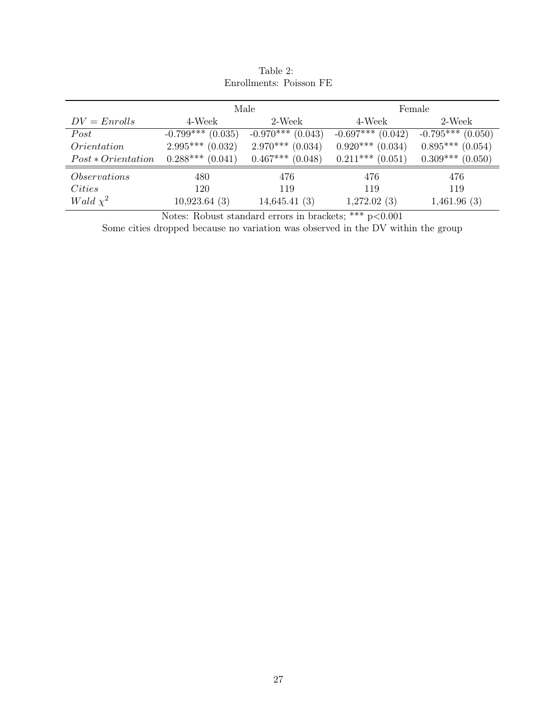<span id="page-26-0"></span>

|                      |                     | Male                 | Female              |                      |  |
|----------------------|---------------------|----------------------|---------------------|----------------------|--|
| $DV = Enrolls$       | 4-Week              | 2-Week               | 4-Week              | 2-Week               |  |
| Post                 | $-0.799***$ (0.035) | $-0.970***$ (0.043)  | $-0.697***$ (0.042) | $-0.795***$ (0.050)  |  |
| Orientation          | $2.995***$ (0.032)  | $2.970***$ (0.034)   | $0.920***$ (0.034)  | $0.895***$ (0.054)   |  |
| $Post * Orientation$ | $0.288***$ (0.041)  | $0.467***$ $(0.048)$ | $0.211***$ (0.051)  | $0.309***$ $(0.050)$ |  |
| <i>Observations</i>  | 480                 | 476                  | 476                 | 476                  |  |
| <i>Cities</i>        | 120                 | 119                  | 119                 | 119                  |  |
| Wald $\chi^2$        | 10,923.64(3)        | 14,645.41(3)         | 1,272.02(3)         | 1,461.96(3)          |  |

Table 2: Enrollments: Poisson FE

Notes: Robust standard errors in brackets; \*\*\*  $p<0.001$ 

Some cities dropped because no variation was observed in the DV within the group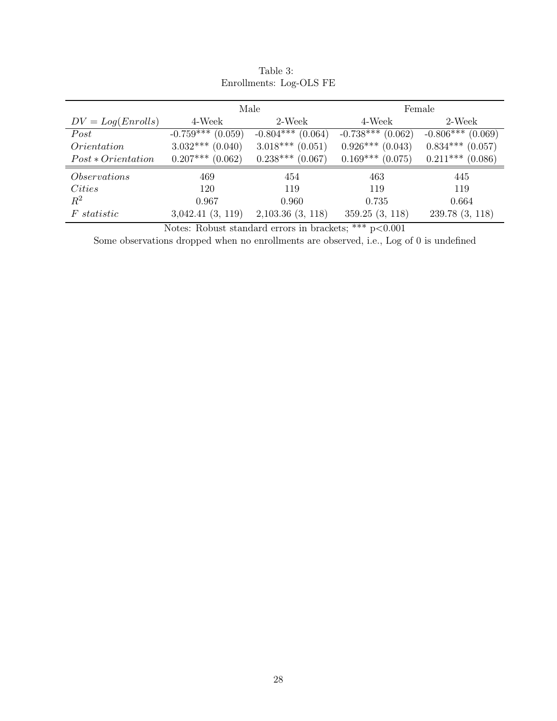<span id="page-27-0"></span>

|                      | Male                 |                       | Female                 |                        |
|----------------------|----------------------|-----------------------|------------------------|------------------------|
| $DV = Log(Enrolls)$  | 4-Week               | 2-Week                | 4-Week                 | 2-Week                 |
| Post                 | $-0.759***$ (0.059)  | $-0.804***$ (0.064)   | $-0.738***$<br>(0.062) | $-0.806***$<br>(0.069) |
| Orientation          | $3.032***$ $(0.040)$ | $3.018***(0.051)$     | $0.926***$ (0.043)     | $0.834***$ (0.057)     |
| $Post * Orientation$ | $0.207***$ (0.062)   | $0.238***$ (0.067)    | $0.169***$ $(0.075)$   | $0.211***$ (0.086)     |
| <i>Observations</i>  | 469                  | 454                   | 463                    | 445                    |
| <i>Cities</i>        | 120                  | 119                   | 119                    | 119                    |
| $R^2$                | 0.967                | 0.960                 | 0.735                  | 0.664                  |
| <i>F</i> statistic   | 3,042.41(3, 119)     | $2,103.36$ $(3, 118)$ | 359.25(3, 118)         | 239.78 (3, 118)        |

| Table 3: |                         |
|----------|-------------------------|
|          | Enrollments: Log-OLS FE |

Notes: Robust standard errors in brackets; \*\*\*  $p < 0.001$ 

Some observations dropped when no enrollments are observed, i.e., Log of 0 is undefined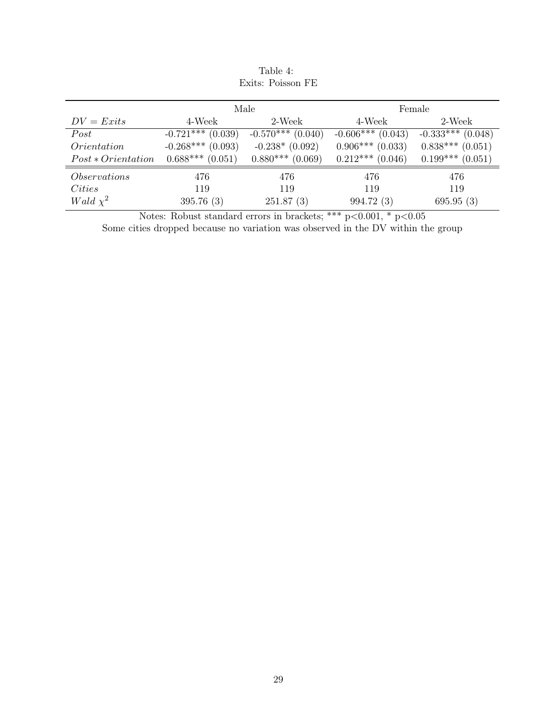<span id="page-28-0"></span>

|                      |                     | Male                | Female              |                        |  |
|----------------------|---------------------|---------------------|---------------------|------------------------|--|
| $DV = Exits$         | 4-Week              | 2-Week              | 4-Week              | 2-Week                 |  |
| Post                 | $-0.721***$ (0.039) | $-0.570***$ (0.040) | $-0.606***$ (0.043) | $-0.333***$<br>(0.048) |  |
| Orientation          | $-0.268***$ (0.093) | $-0.238*(0.092)$    | $0.906***$ (0.033)  | $0.838***$ $(0.051)$   |  |
| $Post * Orientation$ | $0.688***(0.051)$   | $0.880***$ (0.069)  | $0.212***$ (0.046)  | $0.199***$<br>(0.051)  |  |
| <i>Observations</i>  | 476                 | 476                 | 476                 | 476                    |  |
| <i>Cities</i>        | 119                 | 119                 | 119                 | 119                    |  |
| Wald $\chi^2$        | 395.76(3)           | 251.87(3)           | 994.72 (3)          | 695.95(3)              |  |

Table 4: Exits: Poisson FE

Notes: Robust standard errors in brackets; \*\*\* p<0.001, \* p<0.05

Some cities dropped because no variation was observed in the DV within the group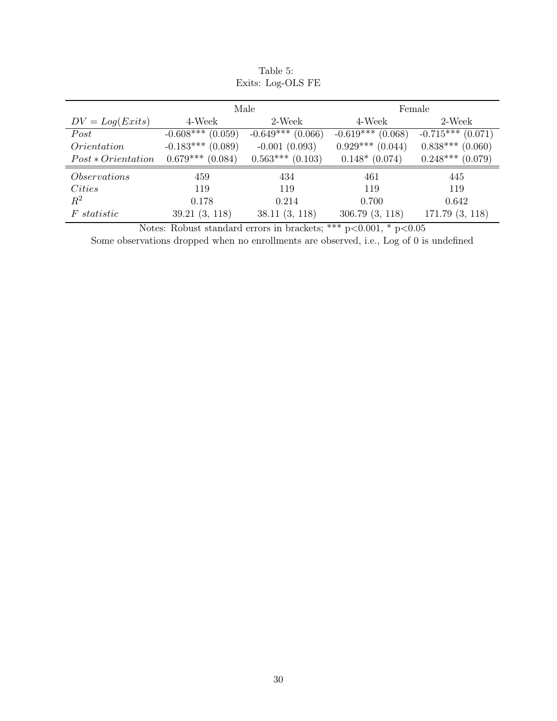<span id="page-29-0"></span>

|                      |                      | Male                 | Female               |                        |  |
|----------------------|----------------------|----------------------|----------------------|------------------------|--|
| $DV = Log(Exits)$    | 4-Week               | 2-Week               | 4-Week               | 2-Week                 |  |
| Post                 | $-0.608***$ (0.059)  | $-0.649***$ (0.066)  | $-0.619***$ (0.068)  | $-0.715***$<br>(0.071) |  |
| Orientation          | $-0.183***$ (0.089)  | $-0.001(0.093)$      | $0.929***$ $(0.044)$ | $0.838***$ (0.060)     |  |
| $Post * Orientation$ | $0.679***$ $(0.084)$ | $0.563***$ $(0.103)$ | $0.148*(0.074)$      | $0.248***$<br>(0.079)  |  |
| <i>Observations</i>  | 459                  | 434                  | 461                  | 445                    |  |
| <i>Cities</i>        | 119                  | 119                  | 119                  | 119                    |  |
| $\,R^2$              | 0.178                | 0.214                | 0.700                | 0.642                  |  |
| <i>F</i> statistic   | 39.21(3, 118)        | 38.11(3, 118)        | 306.79(3, 118)       | 171.79(3, 118)         |  |

Table 5: Exits: Log-OLS FE

Notes: Robust standard errors in brackets; \*\*\*  $p<0.001$ , \*  $p<0.05$ 

Some observations dropped when no enrollments are observed, i.e., Log of 0 is undefined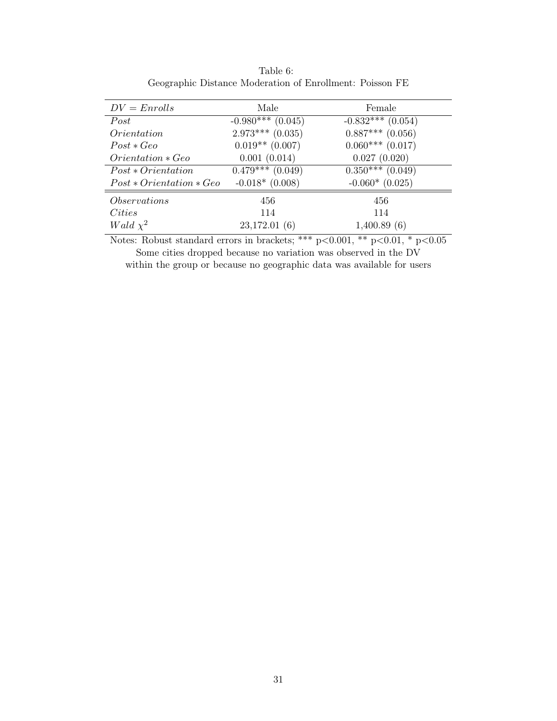<span id="page-30-0"></span>

| $DV = Enrolls$             | Male                 | Female              |
|----------------------------|----------------------|---------------------|
| Post                       | $-0.980***$ (0.045)  | $-0.832***$ (0.054) |
| <i><u>Orientation</u></i>  | $2.973***$ (0.035)   | $0.887***$ (0.056)  |
| $Post * Geo$               | $0.019**$ (0.007)    | $0.060***$ (0.017)  |
| $Orientation * Geo$        | 0.001(0.014)         | 0.027(0.020)        |
| $Post * Orientation$       | $0.479***$ $(0.049)$ | $0.350***(0.049)$   |
| $Post * Orientation * Geo$ | $-0.018*(0.008)$     | $-0.060*(0.025)$    |
| <i>Observations</i>        | 456                  | 456                 |
| Cities                     | 114                  | 114                 |
| Wald $\chi^2$              | 23,172.01(6)         | 1,400.89(6)         |

Table 6: Geographic Distance Moderation of Enrollment: Poisson FE

Notes: Robust standard errors in brackets; \*\*\*  $p<0.001$ , \*\*  $p<0.01$ , \*  $p<0.05$ 

Some cities dropped because no variation was observed in the DV within the group or because no geographic data was available for users